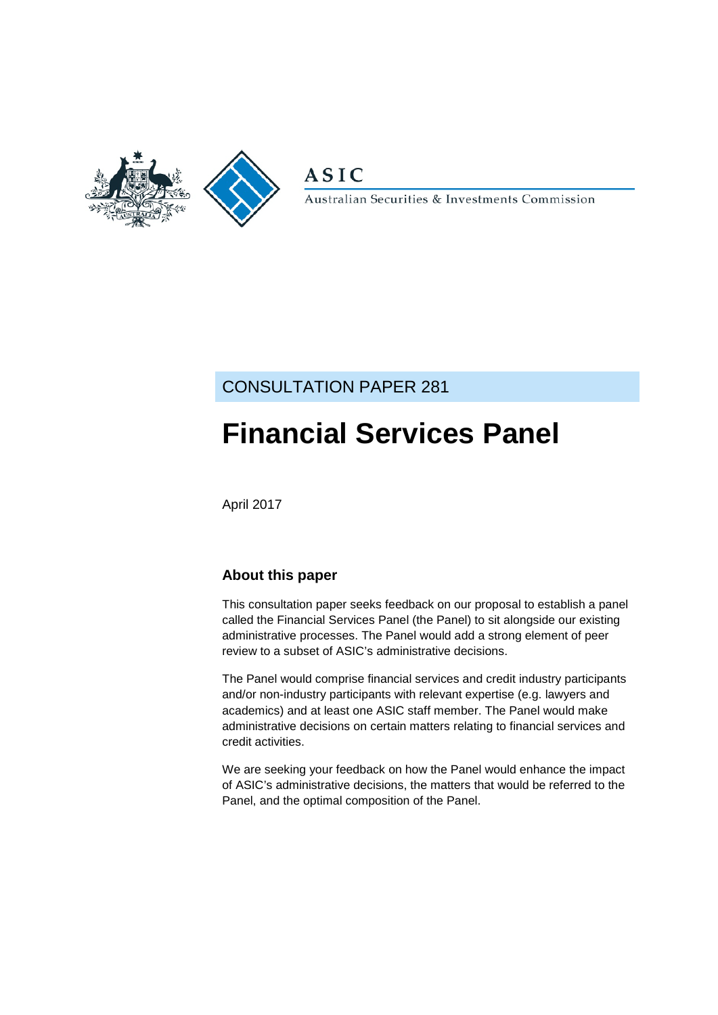

**ASIC** 

Australian Securities & Investments Commission

## CONSULTATION PAPER 281

# **Financial Services Panel**

April 2017

### **About this paper**

This consultation paper seeks feedback on our proposal to establish a panel called the Financial Services Panel (the Panel) to sit alongside our existing administrative processes. The Panel would add a strong element of peer review to a subset of ASIC's administrative decisions.

The Panel would comprise financial services and credit industry participants and/or non-industry participants with relevant expertise (e.g. lawyers and academics) and at least one ASIC staff member. The Panel would make administrative decisions on certain matters relating to financial services and credit activities.

We are seeking your feedback on how the Panel would enhance the impact of ASIC's administrative decisions, the matters that would be referred to the Panel, and the optimal composition of the Panel.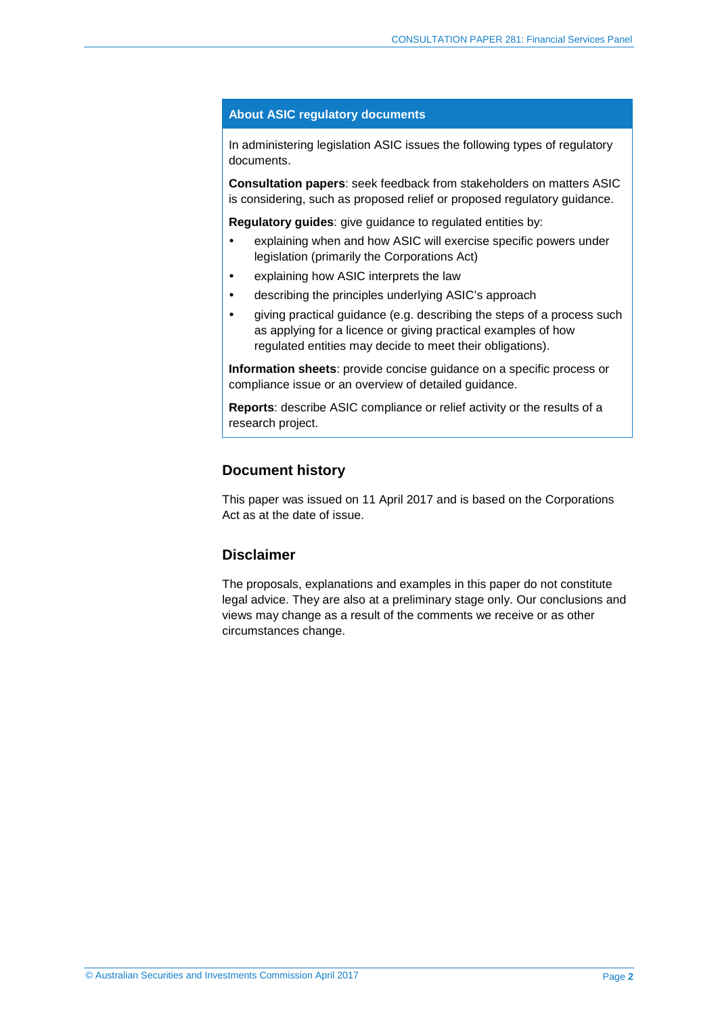#### **About ASIC regulatory documents**

In administering legislation ASIC issues the following types of regulatory documents.

**Consultation papers**: seek feedback from stakeholders on matters ASIC is considering, such as proposed relief or proposed regulatory guidance.

**Regulatory guides**: give guidance to regulated entities by:

- explaining when and how ASIC will exercise specific powers under legislation (primarily the Corporations Act)
- explaining how ASIC interprets the law
- describing the principles underlying ASIC's approach
- giving practical guidance (e.g. describing the steps of a process such as applying for a licence or giving practical examples of how regulated entities may decide to meet their obligations).

**Information sheets**: provide concise guidance on a specific process or compliance issue or an overview of detailed guidance.

**Reports**: describe ASIC compliance or relief activity or the results of a research project.

#### **Document history**

This paper was issued on 11 April 2017 and is based on the Corporations Act as at the date of issue.

#### **Disclaimer**

The proposals, explanations and examples in this paper do not constitute legal advice. They are also at a preliminary stage only. Our conclusions and views may change as a result of the comments we receive or as other circumstances change.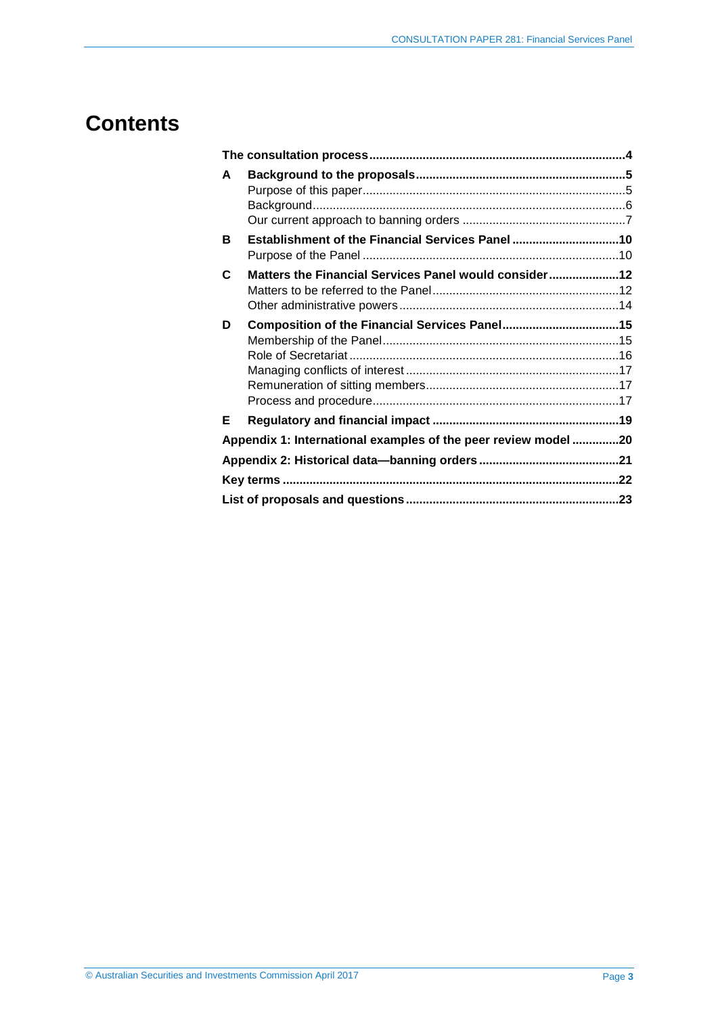## **Contents**

| A |                                                               |  |
|---|---------------------------------------------------------------|--|
|   |                                                               |  |
| в | Establishment of the Financial Services Panel10               |  |
|   |                                                               |  |
| C | Matters the Financial Services Panel would consider12         |  |
|   |                                                               |  |
|   |                                                               |  |
| D | Composition of the Financial Services Panel15                 |  |
|   |                                                               |  |
|   |                                                               |  |
|   |                                                               |  |
|   |                                                               |  |
|   |                                                               |  |
| Е |                                                               |  |
|   | Appendix 1: International examples of the peer review model20 |  |
|   |                                                               |  |
|   |                                                               |  |
|   |                                                               |  |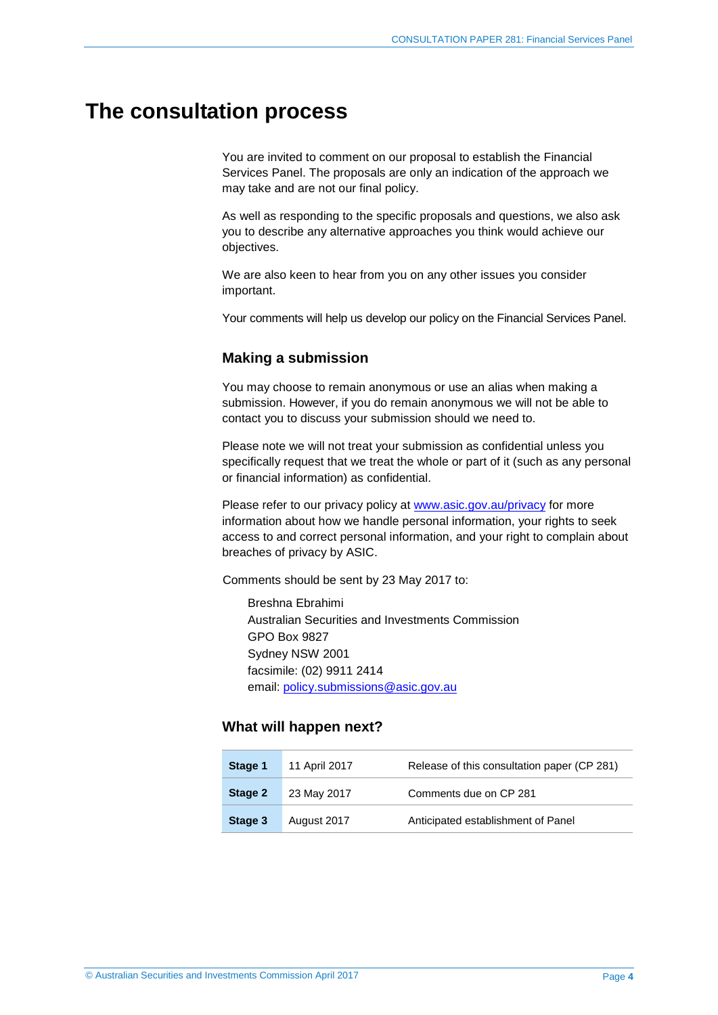## <span id="page-3-1"></span><span id="page-3-0"></span>**The consultation process**

You are invited to comment on our proposal to establish the Financial Services Panel. The proposals are only an indication of the approach we may take and are not our final policy.

As well as responding to the specific proposals and questions, we also ask you to describe any alternative approaches you think would achieve our objectives.

We are also keen to hear from you on any other issues you consider important.

Your comments will help us develop our policy on the Financial Services Panel.

#### **Making a submission**

You may choose to remain anonymous or use an alias when making a submission. However, if you do remain anonymous we will not be able to contact you to discuss your submission should we need to.

Please note we will not treat your submission as confidential unless you specifically request that we treat the whole or part of it (such as any personal or financial information) as confidential.

Please refer to our privacy policy at [www.asic.gov.au/privacy](http://www.asic.gov.au/privacy) for more information about how we handle personal information, your rights to seek access to and correct personal information, and your right to complain about breaches of privacy by ASIC.

Comments should be sent by 23 May 2017 to:

Breshna Ebrahimi Australian Securities and Investments Commission GPO Box 9827 Sydney NSW 2001 facsimile: (02) 9911 2414 email: [policy.submissions@asic.gov.au](mailto:policy.submissions@asic.gov.au)

#### **What will happen next?**

| Stage 1 | 11 April 2017 | Release of this consultation paper (CP 281) |
|---------|---------------|---------------------------------------------|
| Stage 2 | 23 May 2017   | Comments due on CP 281                      |
| Stage 3 | August 2017   | Anticipated establishment of Panel          |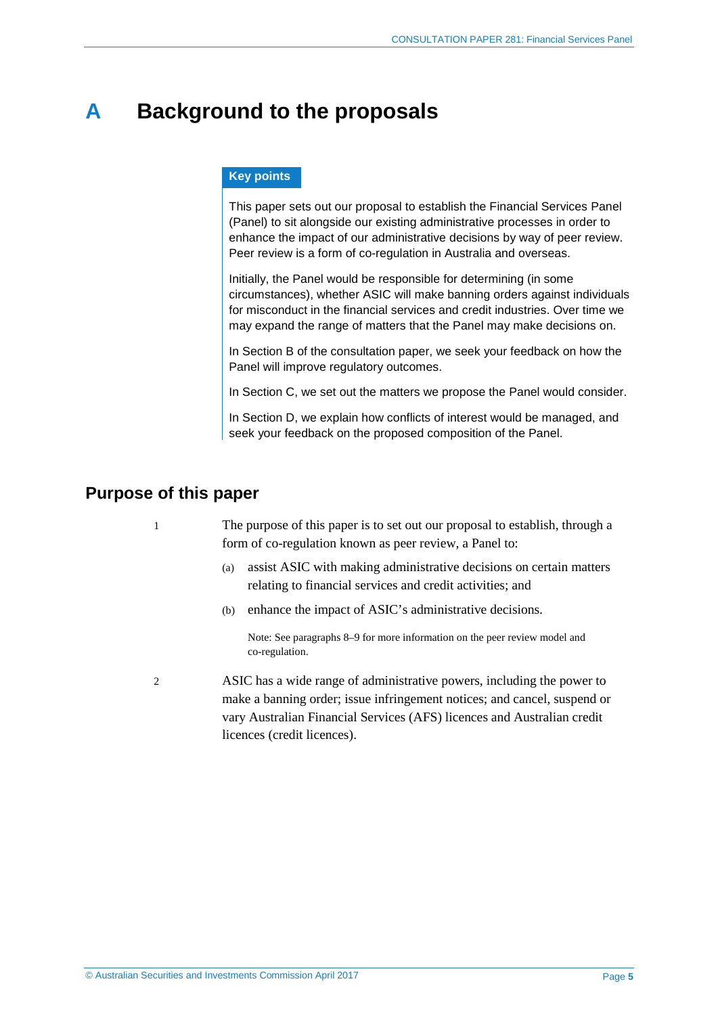## <span id="page-4-0"></span>**A Background to the proposals**

#### **Key points**

This paper sets out our proposal to establish the Financial Services Panel (Panel) to sit alongside our existing administrative processes in order to enhance the impact of our administrative decisions by way of peer review. Peer review is a form of co-regulation in Australia and overseas.

Initially, the Panel would be responsible for determining (in some circumstances), whether ASIC will make banning orders against individuals for misconduct in the financial services and credit industries. Over time we may expand the range of matters that the Panel may make decisions on.

In Section B of the consultation paper, we seek your feedback on how the Panel will improve regulatory outcomes.

In Section C, we set out the matters we propose the Panel would consider.

In Section D, we explain how conflicts of interest would be managed, and seek your feedback on the proposed composition of the Panel.

### <span id="page-4-1"></span>**Purpose of this paper**

- 1 The purpose of this paper is to set out our proposal to establish, through a form of co-regulation known as peer review, a Panel to:
	- (a) assist ASIC with making administrative decisions on certain matters relating to financial services and credit activities; and
	- (b) enhance the impact of ASIC's administrative decisions.

Note: See paragraphs [8–](#page-5-1)[9](#page-6-1) for more information on the peer review model and co-regulation.

2 ASIC has a wide range of administrative powers, including the power to make a banning order; issue infringement notices; and cancel, suspend or vary Australian Financial Services (AFS) licences and Australian credit licences (credit licences).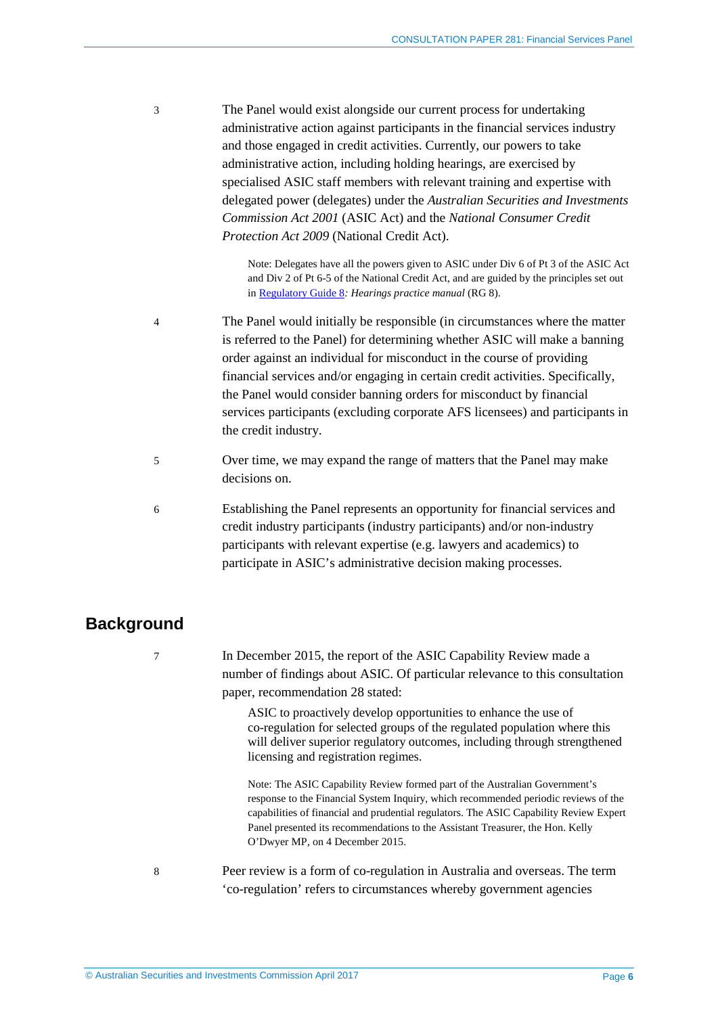3 The Panel would exist alongside our current process for undertaking administrative action against participants in the financial services industry and those engaged in credit activities. Currently, our powers to take administrative action, including holding hearings, are exercised by specialised ASIC staff members with relevant training and expertise with delegated power (delegates) under the *Australian Securities and Investments Commission Act 2001* (ASIC Act) and the *National Consumer Credit Protection Act 2009* (National Credit Act).

> Note: Delegates have all the powers given to ASIC under Div 6 of Pt 3 of the ASIC Act and Div 2 of Pt 6-5 of the National Credit Act, and are guided by the principles set out in [Regulatory Guide 8](http://www.asic.gov.au/regulatory-resources/find-a-document/regulatory-guides/rg-8-hearings-practice-manual/)*: Hearings practice manual* (RG 8).

4 The Panel would initially be responsible (in circumstances where the matter is referred to the Panel) for determining whether ASIC will make a banning order against an individual for misconduct in the course of providing financial services and/or engaging in certain credit activities. Specifically, the Panel would consider banning orders for misconduct by financial services participants (excluding corporate AFS licensees) and participants in the credit industry.

- 5 Over time, we may expand the range of matters that the Panel may make decisions on.
- 6 Establishing the Panel represents an opportunity for financial services and credit industry participants (industry participants) and/or non-industry participants with relevant expertise (e.g. lawyers and academics) to participate in ASIC's administrative decision making processes.

## <span id="page-5-0"></span>**Background**

7 In December 2015, the report of the ASIC Capability Review made a number of findings about ASIC. Of particular relevance to this consultation paper, recommendation 28 stated:

> ASIC to proactively develop opportunities to enhance the use of co-regulation for selected groups of the regulated population where this will deliver superior regulatory outcomes, including through strengthened licensing and registration regimes.

> Note: The ASIC Capability Review formed part of the Australian Government's response to the Financial System Inquiry, which recommended periodic reviews of the capabilities of financial and prudential regulators. The ASIC Capability Review Expert Panel presented its recommendations to the Assistant Treasurer, the Hon. Kelly O'Dwyer MP, on 4 December 2015.

<span id="page-5-1"></span>

8 Peer review is a form of co-regulation in Australia and overseas. The term 'co-regulation' refers to circumstances whereby government agencies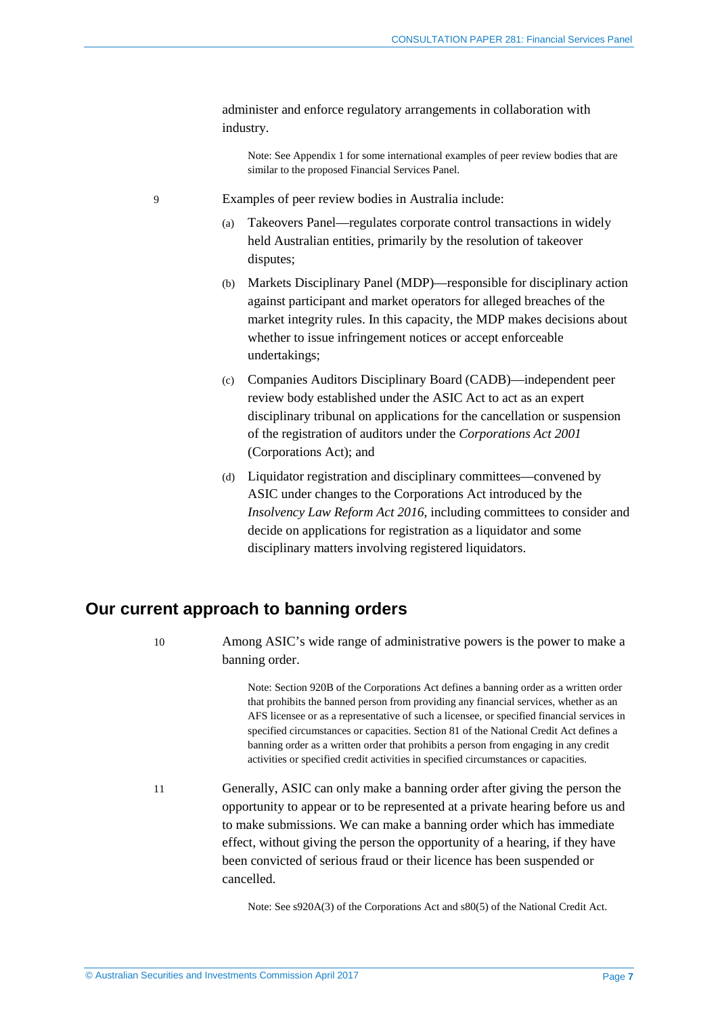administer and enforce regulatory arrangements in collaboration with industry.

Note: See [Appendix 1](#page-19-0) for some international examples of peer review bodies that are similar to the proposed Financial Services Panel.

- <span id="page-6-1"></span>9 Examples of peer review bodies in Australia include:
	- Takeovers Panel—regulates corporate control transactions in widely held Australian entities, primarily by the resolution of takeover disputes;
	- (b) Markets Disciplinary Panel (MDP)—responsible for disciplinary action against participant and market operators for alleged breaches of the market integrity rules. In this capacity, the MDP makes decisions about whether to issue infringement notices or accept enforceable undertakings;
	- (c) Companies Auditors Disciplinary Board (CADB)—independent peer review body established under the ASIC Act to act as an expert disciplinary tribunal on applications for the cancellation or suspension of the registration of auditors under the *Corporations Act 2001* (Corporations Act); and
	- (d) Liquidator registration and disciplinary committees—convened by ASIC under changes to the Corporations Act introduced by the *Insolvency Law Reform Act 2016*, including committees to consider and decide on applications for registration as a liquidator and some disciplinary matters involving registered liquidators.

### <span id="page-6-0"></span>**Our current approach to banning orders**

10 Among ASIC's wide range of administrative powers is the power to make a banning order.

> Note: Section 920B of the Corporations Act defines a banning order as a written order that prohibits the banned person from providing any financial services, whether as an AFS licensee or as a representative of such a licensee, or specified financial services in specified circumstances or capacities. Section 81 of the National Credit Act defines a banning order as a written order that prohibits a person from engaging in any credit activities or specified credit activities in specified circumstances or capacities.

11 Generally, ASIC can only make a banning order after giving the person the opportunity to appear or to be represented at a private hearing before us and to make submissions. We can make a banning order which has immediate effect, without giving the person the opportunity of a hearing, if they have been convicted of serious fraud or their licence has been suspended or cancelled.

Note: See s920A(3) of the Corporations Act and s80(5) of the National Credit Act.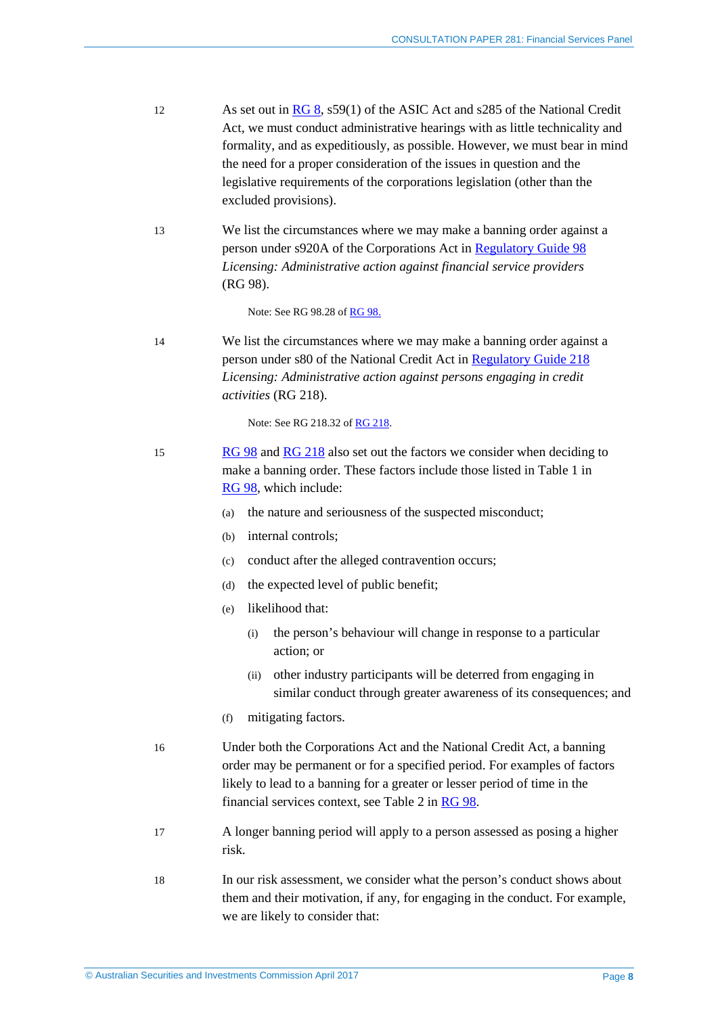- 12 As set out in [RG 8,](http://asic.gov.au/regulatory-resources/find-a-document/regulatory-guides/rg-8-hearings-practice-manual/) s59(1) of the ASIC Act and s285 of the National Credit Act, we must conduct administrative hearings with as little technicality and formality, and as expeditiously, as possible. However, we must bear in mind the need for a proper consideration of the issues in question and the legislative requirements of the corporations legislation (other than the excluded provisions).
- <span id="page-7-0"></span>13 We list the circumstances where we may make a banning order against a person under s920A of the Corporations Act in [Regulatory Guide 98](http://asic.gov.au/regulatory-resources/find-a-document/regulatory-guides/rg-98-licensing-administrative-action-against-financial-services-providers/) *Licensing: Administrative action against financial service providers* (RG 98).

Note: See RG 98.28 of [RG 98.](http://asic.gov.au/regulatory-resources/find-a-document/regulatory-guides/rg-98-licensing-administrative-action-against-financial-services-providers/)

<span id="page-7-1"></span>14 We list the circumstances where we may make a banning order against a person under s80 of the National Credit Act in [Regulatory Guide 218](http://asic.gov.au/regulatory-resources/find-a-document/regulatory-guides/rg-218-licensing-administrative-action-against-persons-engaging-in-credit-activities/) *Licensing: Administrative action against persons engaging in credit activities* (RG 218).

Note: See RG 218.32 o[f RG 218.](http://asic.gov.au/regulatory-resources/find-a-document/regulatory-guides/rg-218-licensing-administrative-action-against-persons-engaging-in-credit-activities/)

- 15 [RG 98](http://asic.gov.au/regulatory-resources/find-a-document/regulatory-guides/rg-98-licensing-administrative-action-against-financial-services-providers/) an[d RG 218](http://asic.gov.au/regulatory-resources/find-a-document/regulatory-guides/rg-218-licensing-administrative-action-against-persons-engaging-in-credit-activities/) also set out the factors we consider when deciding to make a banning order*.* These factors include those listed in Table 1 in [RG 98,](http://asic.gov.au/regulatory-resources/find-a-document/regulatory-guides/rg-98-licensing-administrative-action-against-financial-services-providers/) which include:
	- (a) the nature and seriousness of the suspected misconduct;
	- (b) internal controls;
	- (c) conduct after the alleged contravention occurs;
	- (d) the expected level of public benefit;
	- (e) likelihood that:
		- (i) the person's behaviour will change in response to a particular action; or
		- (ii) other industry participants will be deterred from engaging in similar conduct through greater awareness of its consequences; and
	- (f) mitigating factors.
- 16 Under both the Corporations Act and the National Credit Act, a banning order may be permanent or for a specified period. For examples of factors likely to lead to a banning for a greater or lesser period of time in the financial services context, see Table 2 i[n RG 98.](http://asic.gov.au/regulatory-resources/find-a-document/regulatory-guides/rg-98-licensing-administrative-action-against-financial-services-providers/)
- 17 A longer banning period will apply to a person assessed as posing a higher risk.
- 18 In our risk assessment, we consider what the person's conduct shows about them and their motivation, if any, for engaging in the conduct. For example, we are likely to consider that: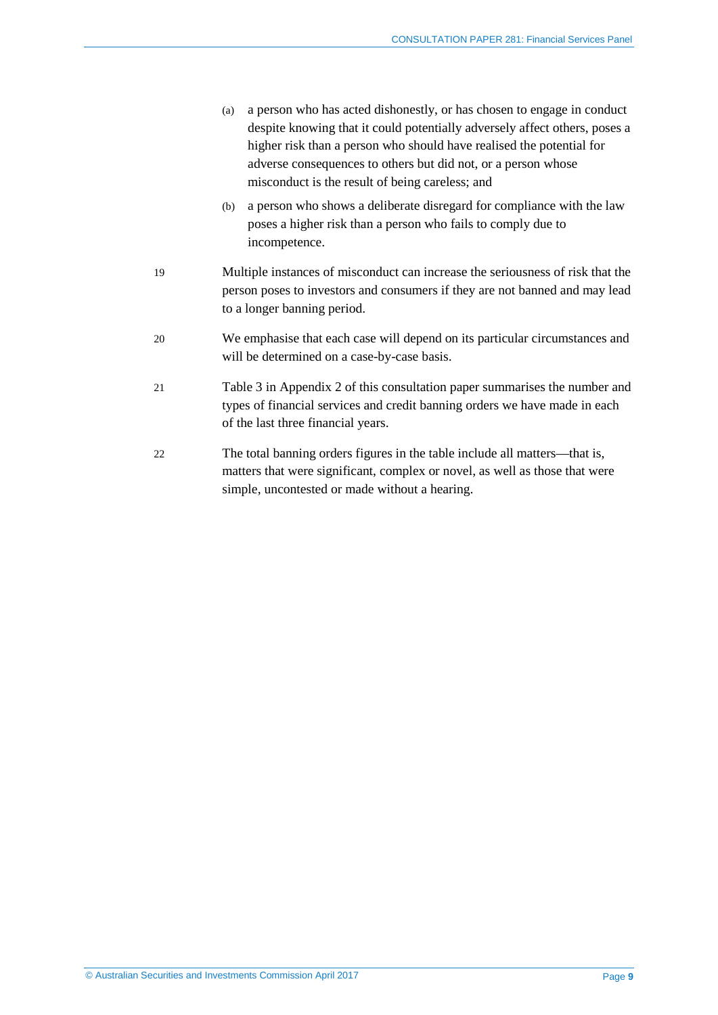- (a) a person who has acted dishonestly, or has chosen to engage in conduct despite knowing that it could potentially adversely affect others, poses a higher risk than a person who should have realised the potential for adverse consequences to others but did not, or a person whose misconduct is the result of being careless; and
- (b) a person who shows a deliberate disregard for compliance with the law poses a higher risk than a person who fails to comply due to incompetence.
- 19 Multiple instances of misconduct can increase the seriousness of risk that the person poses to investors and consumers if they are not banned and may lead to a longer banning period.
- 20 We emphasise that each case will depend on its particular circumstances and will be determined on a case-by-case basis.
- 21 [Table 3](#page-20-1) in Appendix 2 of this consultation paper summarises the number and types of financial services and credit banning orders we have made in each of the last three financial years.
- 22 The total banning orders figures in the table include all matters—that is, matters that were significant, complex or novel, as well as those that were simple, uncontested or made without a hearing.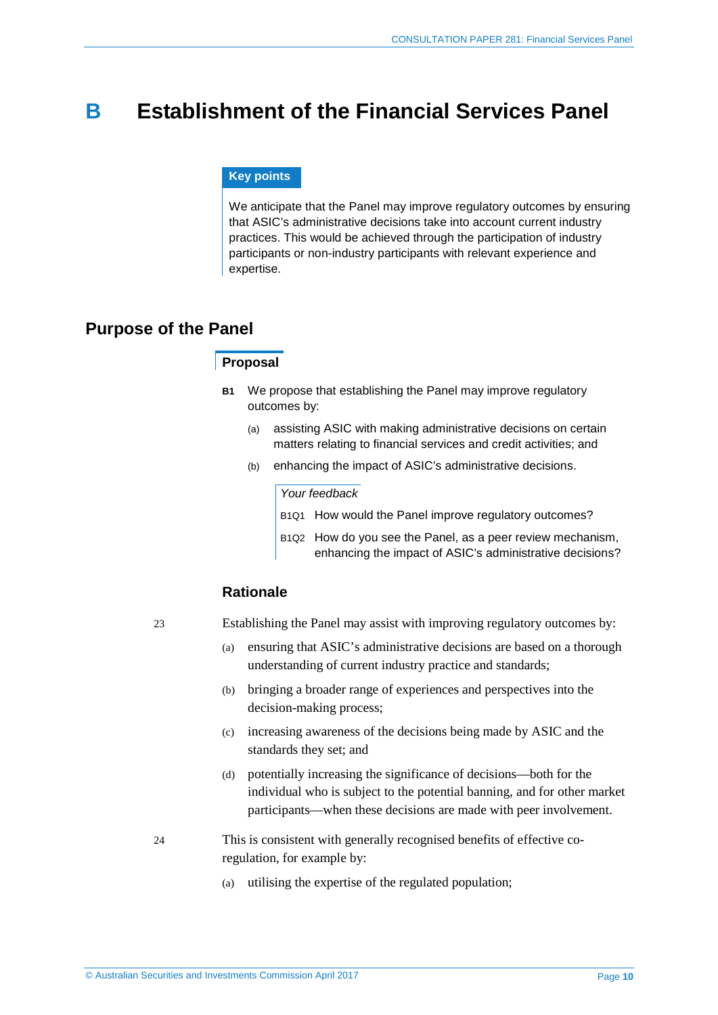## <span id="page-9-0"></span>**B Establishment of the Financial Services Panel**

#### **Key points**

We anticipate that the Panel may improve regulatory outcomes by ensuring that ASIC's administrative decisions take into account current industry practices. This would be achieved through the participation of industry participants or non-industry participants with relevant experience and expertise.

### <span id="page-9-1"></span>**Purpose of the Panel**

#### **Proposal**

- **B1** We propose that establishing the Panel may improve regulatory outcomes by:
	- (a) assisting ASIC with making administrative decisions on certain matters relating to financial services and credit activities; and
	- (b) enhancing the impact of ASIC's administrative decisions.

#### *Your feedback*

B1Q1 How would the Panel improve regulatory outcomes?

B1Q2 How do you see the Panel, as a peer review mechanism, enhancing the impact of ASIC's administrative decisions?

#### **Rationale**

- <span id="page-9-2"></span>23 Establishing the Panel may assist with improving regulatory outcomes by:
	- (a) ensuring that ASIC's administrative decisions are based on a thorough understanding of current industry practice and standards;
	- (b) bringing a broader range of experiences and perspectives into the decision-making process;
	- (c) increasing awareness of the decisions being made by ASIC and the standards they set; and
	- (d) potentially increasing the significance of decisions—both for the individual who is subject to the potential banning, and for other market participants—when these decisions are made with peer involvement.
- <span id="page-9-3"></span>24 This is consistent with generally recognised benefits of effective coregulation, for example by:
	- (a) utilising the expertise of the regulated population;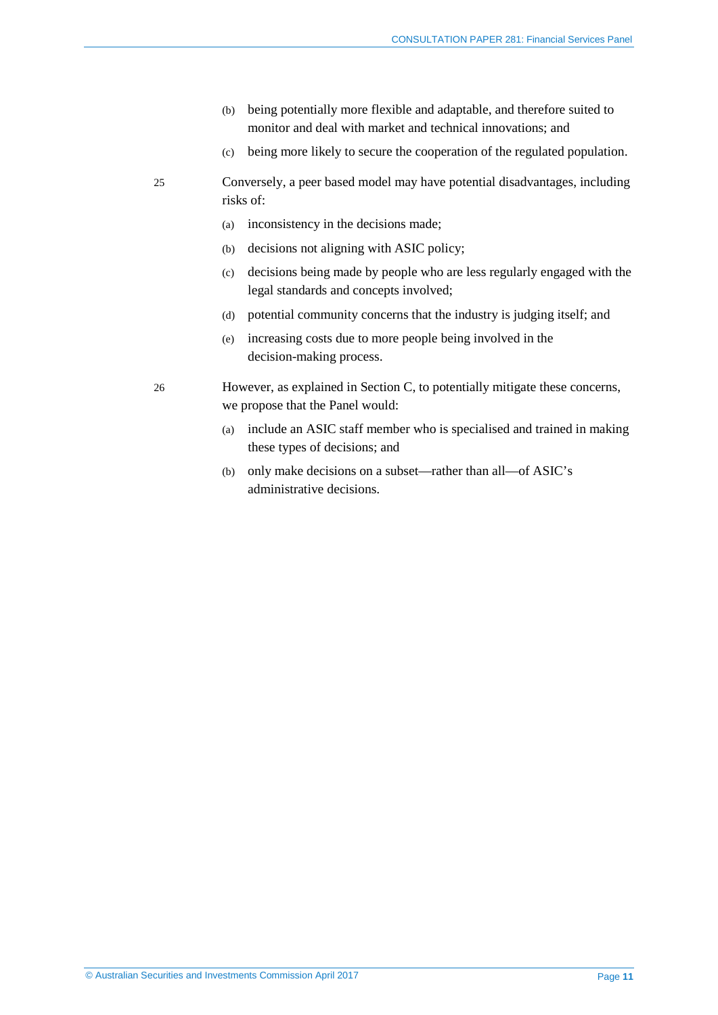- (b) being potentially more flexible and adaptable, and therefore suited to monitor and deal with market and technical innovations; and
- (c) being more likely to secure the cooperation of the regulated population.
- <span id="page-10-0"></span>25 Conversely, a peer based model may have potential disadvantages, including risks of:
	- (a) inconsistency in the decisions made;
	- (b) decisions not aligning with ASIC policy;
	- (c) decisions being made by people who are less regularly engaged with the legal standards and concepts involved;
	- (d) potential community concerns that the industry is judging itself; and
	- (e) increasing costs due to more people being involved in the decision-making process.
- <span id="page-10-1"></span>26 However, as explained in Section C, to potentially mitigate these concerns, we propose that the Panel would:
	- (a) include an ASIC staff member who is specialised and trained in making these types of decisions; and
	- (b) only make decisions on a subset—rather than all—of ASIC's administrative decisions.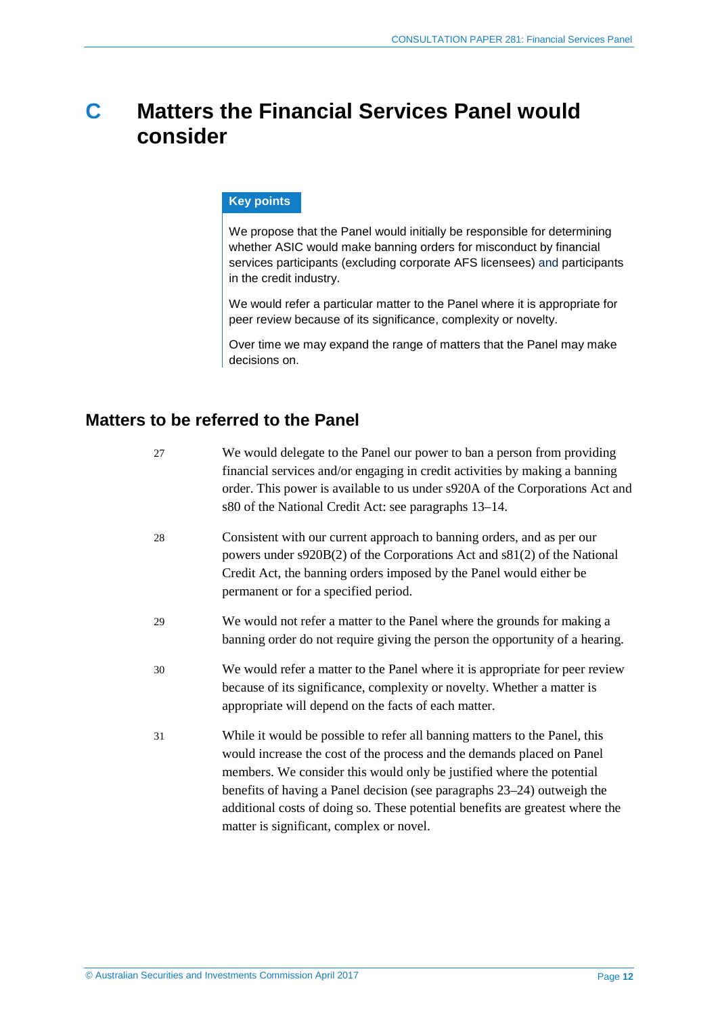## <span id="page-11-0"></span>**C Matters the Financial Services Panel would consider**

#### **Key points**

We propose that the Panel would initially be responsible for determining whether ASIC would make banning orders for misconduct by financial services participants (excluding corporate AFS licensees) and participants in the credit industry.

We would refer a particular matter to the Panel where it is appropriate for peer review because of its significance, complexity or novelty.

Over time we may expand the range of matters that the Panel may make decisions on.

### <span id="page-11-1"></span>**Matters to be referred to the Panel**

| 27 | We would delegate to the Panel our power to ban a person from providing<br>financial services and/or engaging in credit activities by making a banning<br>order. This power is available to us under s920A of the Corporations Act and<br>s80 of the National Credit Act: see paragraphs 13–14.                                                                                                                                       |
|----|---------------------------------------------------------------------------------------------------------------------------------------------------------------------------------------------------------------------------------------------------------------------------------------------------------------------------------------------------------------------------------------------------------------------------------------|
| 28 | Consistent with our current approach to banning orders, and as per our<br>powers under s920B(2) of the Corporations Act and s81(2) of the National<br>Credit Act, the banning orders imposed by the Panel would either be<br>permanent or for a specified period.                                                                                                                                                                     |
| 29 | We would not refer a matter to the Panel where the grounds for making a<br>banning order do not require giving the person the opportunity of a hearing.                                                                                                                                                                                                                                                                               |
| 30 | We would refer a matter to the Panel where it is appropriate for peer review<br>because of its significance, complexity or novelty. Whether a matter is<br>appropriate will depend on the facts of each matter.                                                                                                                                                                                                                       |
| 31 | While it would be possible to refer all banning matters to the Panel, this<br>would increase the cost of the process and the demands placed on Panel<br>members. We consider this would only be justified where the potential<br>benefits of having a Panel decision (see paragraphs 23–24) outweigh the<br>additional costs of doing so. These potential benefits are greatest where the<br>matter is significant, complex or novel. |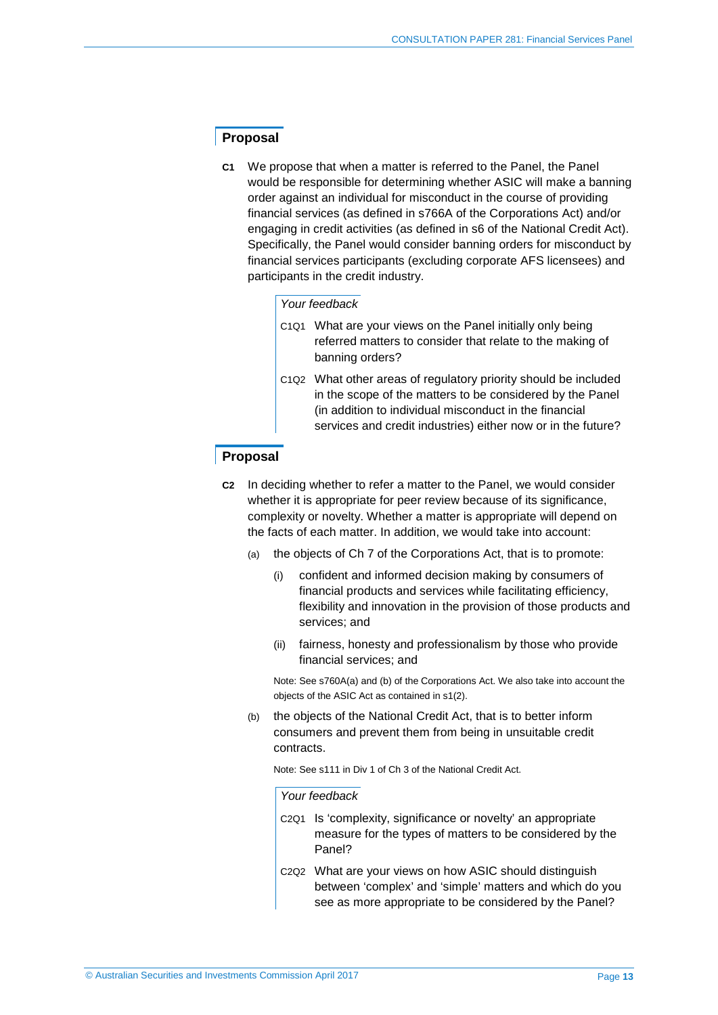#### **Proposal**

**C1** We propose that when a matter is referred to the Panel, the Panel would be responsible for determining whether ASIC will make a banning order against an individual for misconduct in the course of providing financial services (as defined in s766A of the Corporations Act) and/or engaging in credit activities (as defined in s6 of the National Credit Act). Specifically, the Panel would consider banning orders for misconduct by financial services participants (excluding corporate AFS licensees) and participants in the credit industry.

#### *Your feedback*

- C1Q1 What are your views on the Panel initially only being referred matters to consider that relate to the making of banning orders?
- C1Q2 What other areas of regulatory priority should be included in the scope of the matters to be considered by the Panel (in addition to individual misconduct in the financial services and credit industries) either now or in the future?

#### **Proposal**

- **C2** In deciding whether to refer a matter to the Panel, we would consider whether it is appropriate for peer review because of its significance. complexity or novelty. Whether a matter is appropriate will depend on the facts of each matter. In addition, we would take into account:
	- (a) the objects of Ch 7 of the Corporations Act, that is to promote:
		- (i) confident and informed decision making by consumers of financial products and services while facilitating efficiency, flexibility and innovation in the provision of those products and services; and
		- (ii) fairness, honesty and professionalism by those who provide financial services; and

Note: See s760A(a) and (b) of the Corporations Act. We also take into account the objects of the ASIC Act as contained in s1(2).

(b) the objects of the National Credit Act, that is to better inform consumers and prevent them from being in unsuitable credit contracts.

Note: See s111 in Div 1 of Ch 3 of the National Credit Act.

#### *Your feedback*

- C2Q1 Is 'complexity, significance or novelty' an appropriate measure for the types of matters to be considered by the Panel?
- C2Q2 What are your views on how ASIC should distinguish between 'complex' and 'simple' matters and which do you see as more appropriate to be considered by the Panel?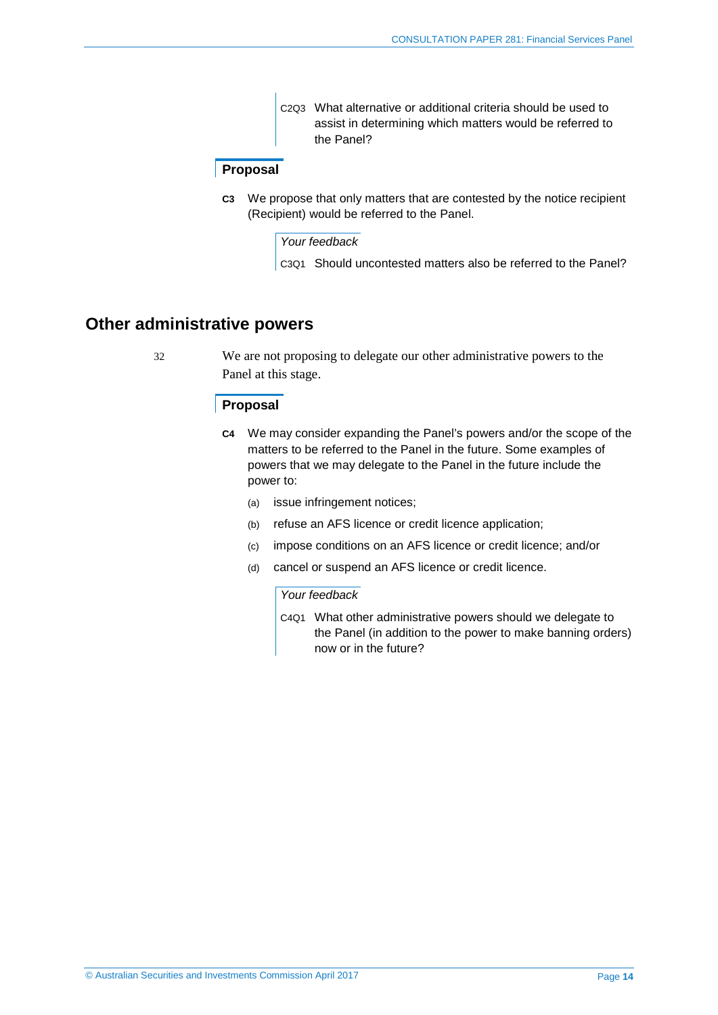C2Q3 What alternative or additional criteria should be used to assist in determining which matters would be referred to the Panel?

#### **Proposal**

**C3** We propose that only matters that are contested by the notice recipient (Recipient) would be referred to the Panel.

#### *Your feedback*

C3Q1 Should uncontested matters also be referred to the Panel?

### <span id="page-13-0"></span>**Other administrative powers**

32 We are not proposing to delegate our other administrative powers to the Panel at this stage.

#### **Proposal**

- **C4** We may consider expanding the Panel's powers and/or the scope of the matters to be referred to the Panel in the future. Some examples of powers that we may delegate to the Panel in the future include the power to:
	- (a) issue infringement notices;
	- (b) refuse an AFS licence or credit licence application;
	- (c) impose conditions on an AFS licence or credit licence; and/or
	- (d) cancel or suspend an AFS licence or credit licence.

#### *Your feedback*

C4Q1 What other administrative powers should we delegate to the Panel (in addition to the power to make banning orders) now or in the future?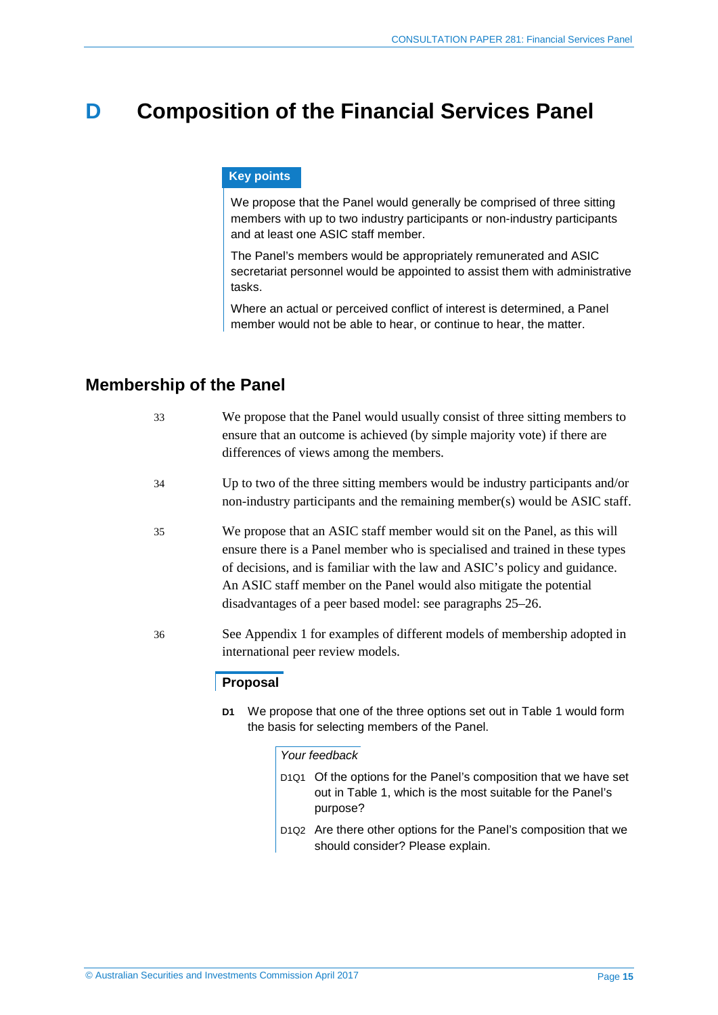## <span id="page-14-0"></span>**D Composition of the Financial Services Panel**

#### **Key points**

We propose that the Panel would generally be comprised of three sitting members with up to two industry participants or non-industry participants and at least one ASIC staff member.

The Panel's members would be appropriately remunerated and ASIC secretariat personnel would be appointed to assist them with administrative tasks.

Where an actual or perceived conflict of interest is determined, a Panel member would not be able to hear, or continue to hear, the matter.

### <span id="page-14-1"></span>**Membership of the Panel**

| 33 | We propose that the Panel would usually consist of three sitting members to<br>ensure that an outcome is achieved (by simple majority vote) if there are<br>differences of views among the members.                                                                                                                                                                          |
|----|------------------------------------------------------------------------------------------------------------------------------------------------------------------------------------------------------------------------------------------------------------------------------------------------------------------------------------------------------------------------------|
| 34 | Up to two of the three sitting members would be industry participants and/or<br>non-industry participants and the remaining member(s) would be ASIC staff.                                                                                                                                                                                                                   |
| 35 | We propose that an ASIC staff member would sit on the Panel, as this will<br>ensure there is a Panel member who is specialised and trained in these types<br>of decisions, and is familiar with the law and ASIC's policy and guidance.<br>An ASIC staff member on the Panel would also mitigate the potential<br>disadvantages of a peer based model: see paragraphs 25–26. |
| 36 | See Appendix 1 for examples of different models of membership adopted in<br>international peer review models.                                                                                                                                                                                                                                                                |

#### **Proposal**

**D1** We propose that one of the three options set out in [Table 1](#page-15-1) would form the basis for selecting members of the Panel.

#### *Your feedback*

- D1Q1 Of the options for the Panel's composition that we have set out in Table 1, which is the most suitable for the Panel's purpose?
- D1Q2 Are there other options for the Panel's composition that we should consider? Please explain.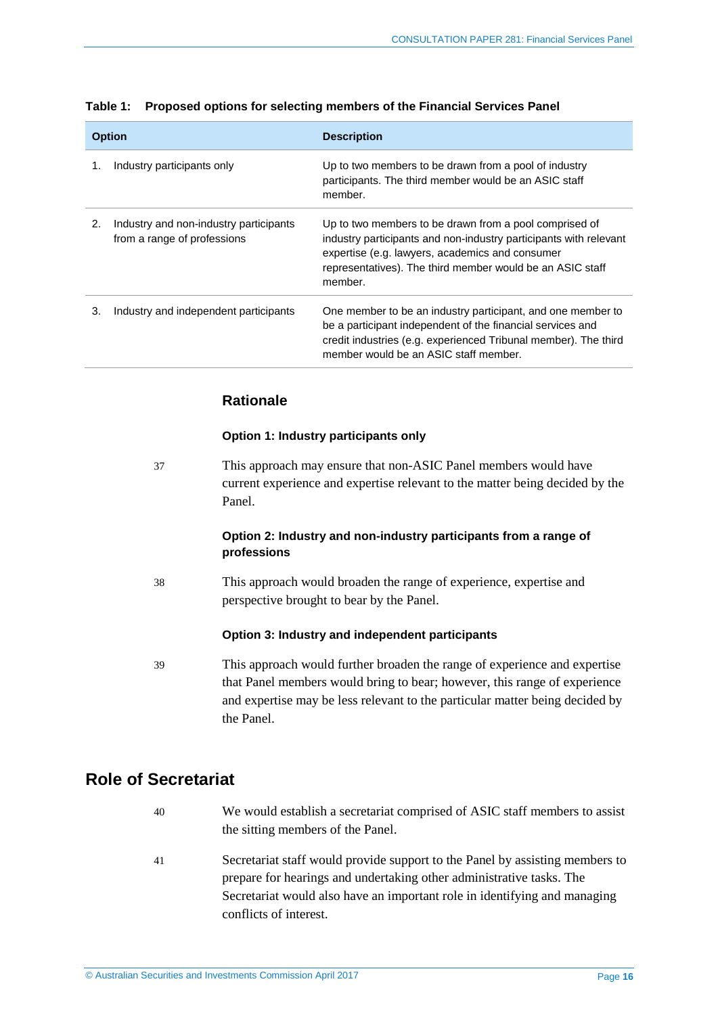| <b>Option</b> |                                                                       | <b>Description</b>                                                                                                                                                                                                                                     |  |
|---------------|-----------------------------------------------------------------------|--------------------------------------------------------------------------------------------------------------------------------------------------------------------------------------------------------------------------------------------------------|--|
| 1.            | Industry participants only                                            | Up to two members to be drawn from a pool of industry<br>participants. The third member would be an ASIC staff<br>member.                                                                                                                              |  |
| 2.            | Industry and non-industry participants<br>from a range of professions | Up to two members to be drawn from a pool comprised of<br>industry participants and non-industry participants with relevant<br>expertise (e.g. lawyers, academics and consumer<br>representatives). The third member would be an ASIC staff<br>member. |  |
| 3.            | Industry and independent participants                                 | One member to be an industry participant, and one member to<br>be a participant independent of the financial services and<br>credit industries (e.g. experienced Tribunal member). The third<br>member would be an ASIC staff member.                  |  |

#### <span id="page-15-1"></span>**Table 1: Proposed options for selecting members of the Financial Services Panel**

#### **Rationale**

#### **Option 1: Industry participants only**

37 This approach may ensure that non-ASIC Panel members would have current experience and expertise relevant to the matter being decided by the Panel.

#### **Option 2: Industry and non-industry participants from a range of professions**

38 This approach would broaden the range of experience, expertise and perspective brought to bear by the Panel.

#### **Option 3: Industry and independent participants**

39 This approach would further broaden the range of experience and expertise that Panel members would bring to bear; however, this range of experience and expertise may be less relevant to the particular matter being decided by the Panel.

### <span id="page-15-0"></span>**Role of Secretariat**

- 40 We would establish a secretariat comprised of ASIC staff members to assist the sitting members of the Panel.
- 41 Secretariat staff would provide support to the Panel by assisting members to prepare for hearings and undertaking other administrative tasks. The Secretariat would also have an important role in identifying and managing conflicts of interest.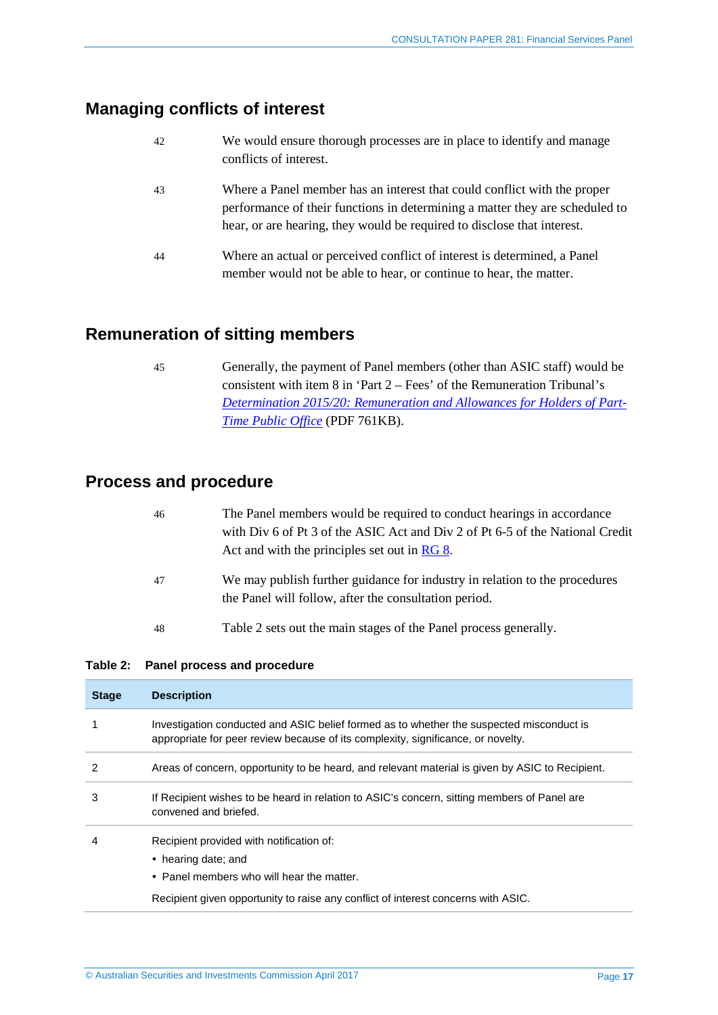## <span id="page-16-0"></span>**Managing conflicts of interest**

| 42 | We would ensure thorough processes are in place to identify and manage |
|----|------------------------------------------------------------------------|
|    | conflicts of interest.                                                 |

- 43 Where a Panel member has an interest that could conflict with the proper performance of their functions in determining a matter they are scheduled to hear, or are hearing, they would be required to disclose that interest.
- 44 Where an actual or perceived conflict of interest is determined, a Panel member would not be able to hear, or continue to hear, the matter.

### <span id="page-16-1"></span>**Remuneration of sitting members**

45 Generally, the payment of Panel members (other than ASIC staff) would be consistent with item 8 in 'Part 2 – Fees' of the Remuneration Tribunal's *[Determination 2015/20: Remuneration and Allowances for Holders of Part-](http://remtribunal.gov.au/media/documents/2016/2015-determinations/2015-20-principal-determination-remuneration-and-allowances-for-holders-of-part-time-public-office/2015-20-PTOH-Determination-1.1.2016.pdf)[Time Public Office](http://remtribunal.gov.au/media/documents/2016/2015-determinations/2015-20-principal-determination-remuneration-and-allowances-for-holders-of-part-time-public-office/2015-20-PTOH-Determination-1.1.2016.pdf)* (PDF 761KB).

### <span id="page-16-2"></span>**Process and procedure**

| -46 | The Panel members would be required to conduct hearings in accordance         |
|-----|-------------------------------------------------------------------------------|
|     | with Div 6 of Pt 3 of the ASIC Act and Div 2 of Pt 6-5 of the National Credit |
|     | Act and with the principles set out in RG 8.                                  |
| 47  | We may publish further guidance for industry in relation to the procedures    |
|     | the Panel will follow, after the consultation period.                         |

48 [Table 2](#page-16-3) sets out the main stages of the Panel process generally.

#### <span id="page-16-3"></span>**Table 2: Panel process and procedure**

| <b>Stage</b> | <b>Description</b>                                                                                                                                                                                |
|--------------|---------------------------------------------------------------------------------------------------------------------------------------------------------------------------------------------------|
|              | Investigation conducted and ASIC belief formed as to whether the suspected misconduct is<br>appropriate for peer review because of its complexity, significance, or novelty.                      |
| 2            | Areas of concern, opportunity to be heard, and relevant material is given by ASIC to Recipient.                                                                                                   |
| 3            | If Recipient wishes to be heard in relation to ASIC's concern, sitting members of Panel are<br>convened and briefed.                                                                              |
| 4            | Recipient provided with notification of:<br>• hearing date; and<br>• Panel members who will hear the matter.<br>Recipient given opportunity to raise any conflict of interest concerns with ASIC. |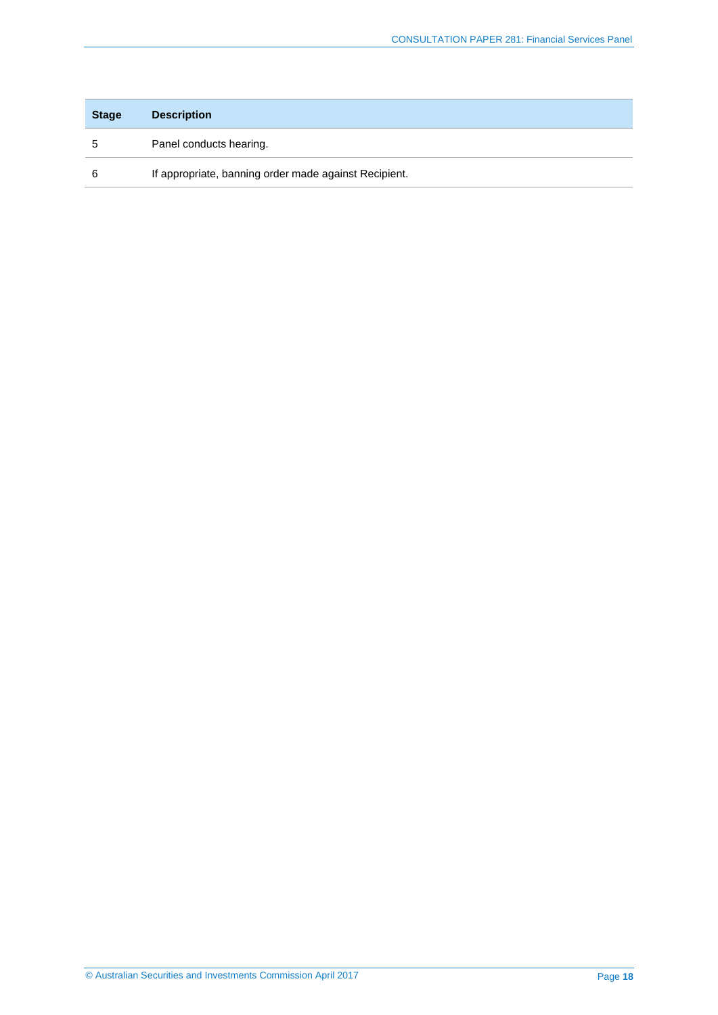| <b>Stage</b> | <b>Description</b>                                    |
|--------------|-------------------------------------------------------|
|              | Panel conducts hearing.                               |
|              | If appropriate, banning order made against Recipient. |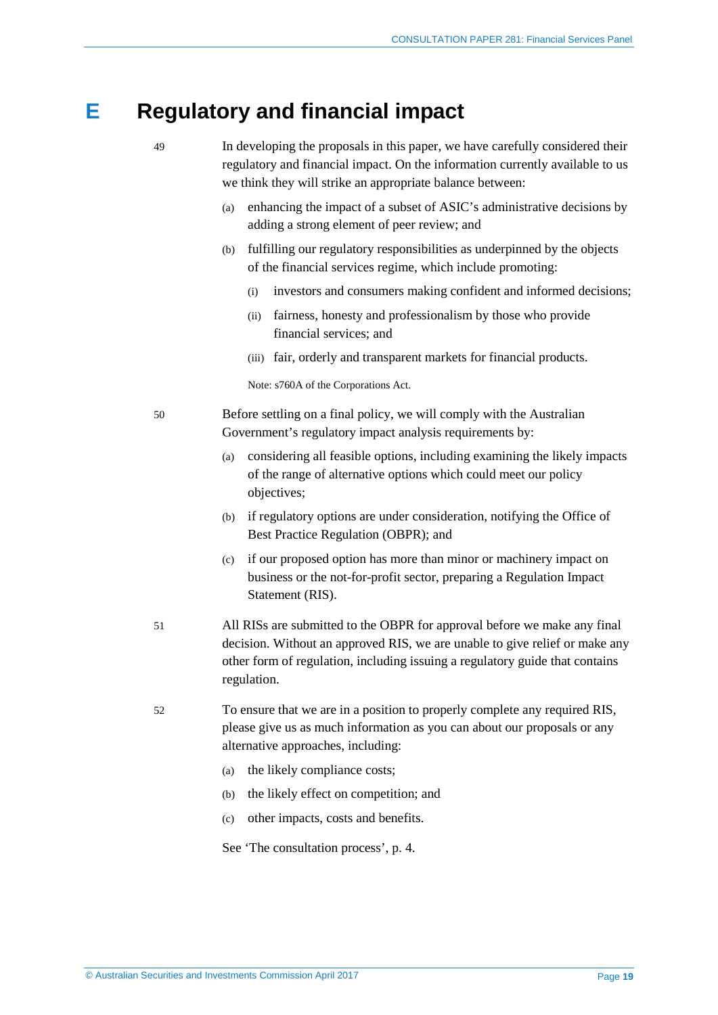## <span id="page-18-0"></span>**E Regulatory and financial impact**

- 49 In developing the proposals in this paper, we have carefully considered their regulatory and financial impact. On the information currently available to us
	- (a) enhancing the impact of a subset of ASIC's administrative decisions by adding a strong element of peer review; and
	- (b) fulfilling our regulatory responsibilities as underpinned by the objects of the financial services regime, which include promoting:
		- (i) investors and consumers making confident and informed decisions;
		- (ii) fairness, honesty and professionalism by those who provide financial services; and
		- (iii) fair, orderly and transparent markets for financial products.

Note: s760A of the Corporations Act.

50 Before settling on a final policy, we will comply with the Australian Government's regulatory impact analysis requirements by:

we think they will strike an appropriate balance between:

- (a) considering all feasible options, including examining the likely impacts of the range of alternative options which could meet our policy objectives;
- (b) if regulatory options are under consideration, notifying the Office of Best Practice Regulation (OBPR); and
- (c) if our proposed option has more than minor or machinery impact on business or the not-for-profit sector, preparing a Regulation Impact Statement (RIS).
- 51 All RISs are submitted to the OBPR for approval before we make any final decision. Without an approved RIS, we are unable to give relief or make any other form of regulation, including issuing a regulatory guide that contains regulation.
- 52 To ensure that we are in a position to properly complete any required RIS, please give us as much information as you can about our proposals or any alternative approaches, including:
	- (a) the likely compliance costs;
	- (b) the likely effect on competition; and
	- (c) other impacts, costs and benefits.

See 'The consultation process', p. [4.](#page-3-1)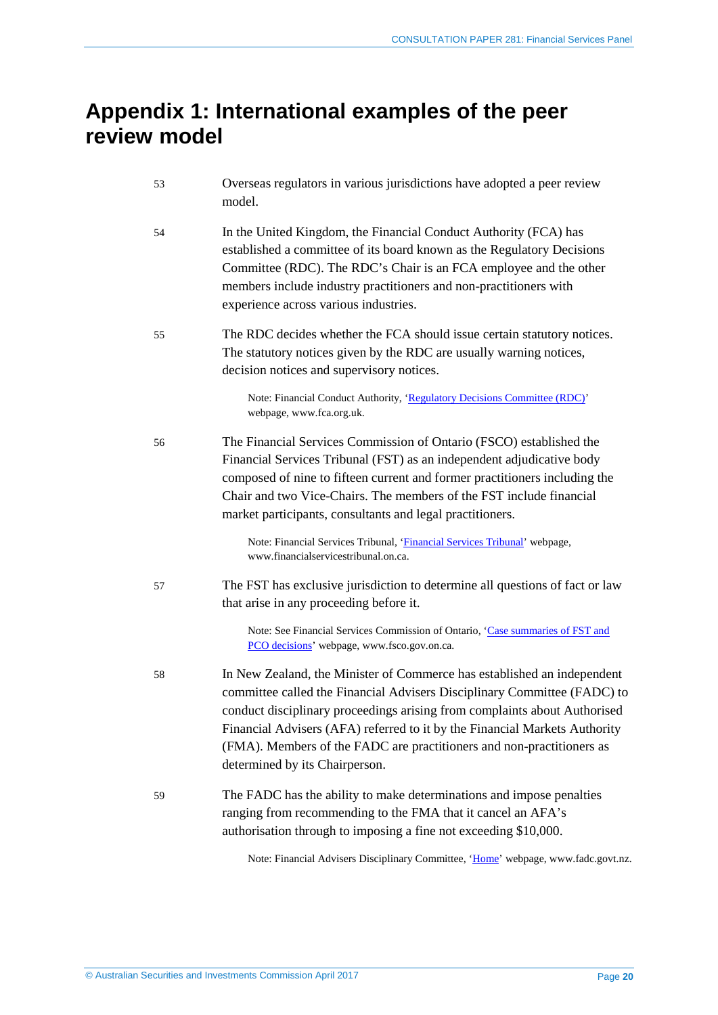## <span id="page-19-0"></span>**Appendix 1: International examples of the peer review model**

| 53 | Overseas regulators in various jurisdictions have adopted a peer review<br>model.                                                                                                                                                                                                                                                                                                                                         |
|----|---------------------------------------------------------------------------------------------------------------------------------------------------------------------------------------------------------------------------------------------------------------------------------------------------------------------------------------------------------------------------------------------------------------------------|
| 54 | In the United Kingdom, the Financial Conduct Authority (FCA) has<br>established a committee of its board known as the Regulatory Decisions<br>Committee (RDC). The RDC's Chair is an FCA employee and the other<br>members include industry practitioners and non-practitioners with<br>experience across various industries.                                                                                             |
| 55 | The RDC decides whether the FCA should issue certain statutory notices.<br>The statutory notices given by the RDC are usually warning notices,<br>decision notices and supervisory notices.                                                                                                                                                                                                                               |
|    | Note: Financial Conduct Authority, 'Regulatory Decisions Committee (RDC)'<br>webpage, www.fca.org.uk.                                                                                                                                                                                                                                                                                                                     |
| 56 | The Financial Services Commission of Ontario (FSCO) established the<br>Financial Services Tribunal (FST) as an independent adjudicative body<br>composed of nine to fifteen current and former practitioners including the<br>Chair and two Vice-Chairs. The members of the FST include financial<br>market participants, consultants and legal practitioners.                                                            |
|    | Note: Financial Services Tribunal, 'Financial Services Tribunal' webpage,<br>www.financialservicestribunal.on.ca.                                                                                                                                                                                                                                                                                                         |
| 57 | The FST has exclusive jurisdiction to determine all questions of fact or law<br>that arise in any proceeding before it.                                                                                                                                                                                                                                                                                                   |
|    | Note: See Financial Services Commission of Ontario, 'Case summaries of FST and<br>PCO decisions' webpage, www.fsco.gov.on.ca.                                                                                                                                                                                                                                                                                             |
| 58 | In New Zealand, the Minister of Commerce has established an independent<br>committee called the Financial Advisers Disciplinary Committee (FADC) to<br>conduct disciplinary proceedings arising from complaints about Authorised<br>Financial Advisers (AFA) referred to it by the Financial Markets Authority<br>(FMA). Members of the FADC are practitioners and non-practitioners as<br>determined by its Chairperson. |
| 59 | The FADC has the ability to make determinations and impose penalties<br>ranging from recommending to the FMA that it cancel an AFA's<br>authorisation through to imposing a fine not exceeding \$10,000.                                                                                                                                                                                                                  |

Note: Financial Advisers Disciplinary Committee, ['Home'](http://www.fadc.govt.nz/) webpage, www.fadc.govt.nz.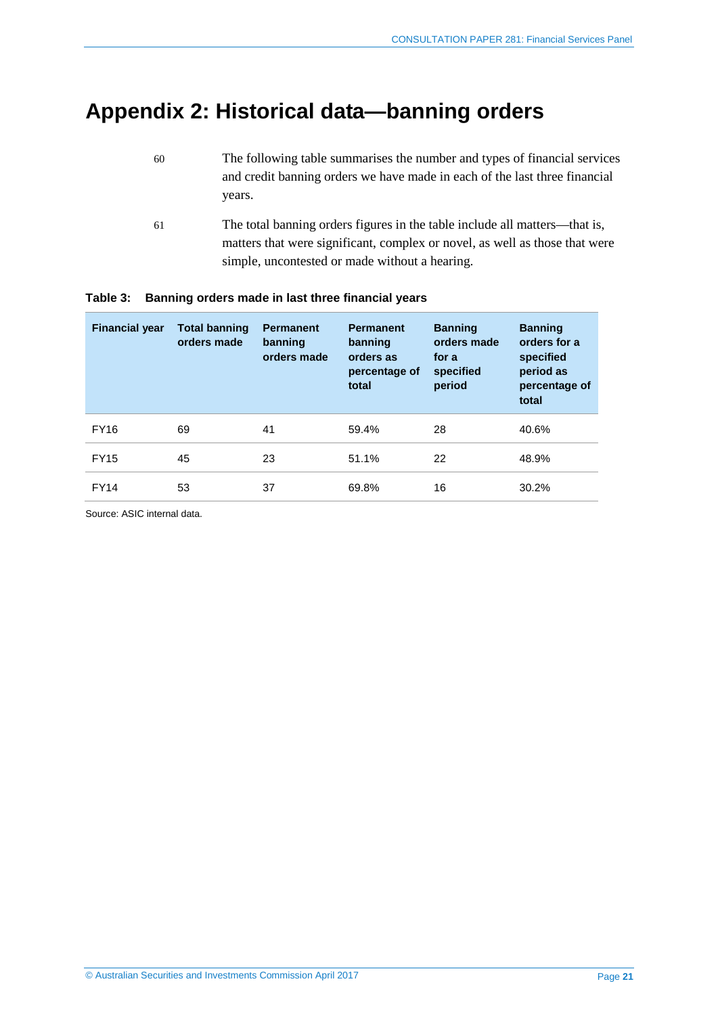## <span id="page-20-0"></span>**Appendix 2: Historical data—banning orders**

- 60 The following table summarises the number and types of financial services and credit banning orders we have made in each of the last three financial years.
- 61 The total banning orders figures in the table include all matters—that is, matters that were significant, complex or novel, as well as those that were simple, uncontested or made without a hearing.

| <b>Financial year</b> | <b>Total banning</b><br>orders made | <b>Permanent</b><br>banning<br>orders made | <b>Permanent</b><br>banning<br>orders as<br>percentage of<br>total | <b>Banning</b><br>orders made<br>for a<br>specified<br>period | <b>Banning</b><br>orders for a<br>specified<br>period as<br>percentage of<br>total |
|-----------------------|-------------------------------------|--------------------------------------------|--------------------------------------------------------------------|---------------------------------------------------------------|------------------------------------------------------------------------------------|
| <b>FY16</b>           | 69                                  | 41                                         | 59.4%                                                              | 28                                                            | 40.6%                                                                              |
| <b>FY15</b>           | 45                                  | 23                                         | 51.1%                                                              | 22                                                            | 48.9%                                                                              |
| <b>FY14</b>           | 53                                  | 37                                         | 69.8%                                                              | 16                                                            | 30.2%                                                                              |

#### <span id="page-20-1"></span>**Table 3: Banning orders made in last three financial years**

Source: ASIC internal data.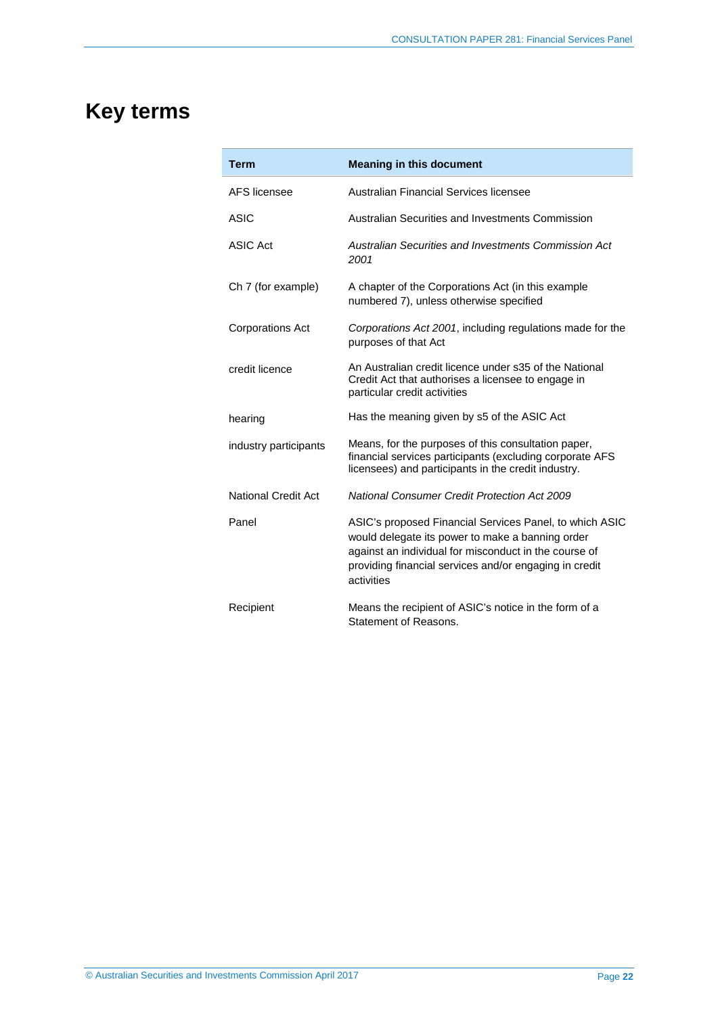## <span id="page-21-0"></span>**Key terms**

| <b>Term</b>                | <b>Meaning in this document</b>                                                                                                                                                                                                              |
|----------------------------|----------------------------------------------------------------------------------------------------------------------------------------------------------------------------------------------------------------------------------------------|
| AFS licensee               | Australian Financial Services licensee                                                                                                                                                                                                       |
| <b>ASIC</b>                | Australian Securities and Investments Commission                                                                                                                                                                                             |
| <b>ASIC Act</b>            | Australian Securities and Investments Commission Act<br>2001                                                                                                                                                                                 |
| Ch 7 (for example)         | A chapter of the Corporations Act (in this example<br>numbered 7), unless otherwise specified                                                                                                                                                |
| <b>Corporations Act</b>    | Corporations Act 2001, including regulations made for the<br>purposes of that Act                                                                                                                                                            |
| credit licence             | An Australian credit licence under s35 of the National<br>Credit Act that authorises a licensee to engage in<br>particular credit activities                                                                                                 |
| hearing                    | Has the meaning given by s5 of the ASIC Act                                                                                                                                                                                                  |
| industry participants      | Means, for the purposes of this consultation paper,<br>financial services participants (excluding corporate AFS<br>licensees) and participants in the credit industry.                                                                       |
| <b>National Credit Act</b> | <b>National Consumer Credit Protection Act 2009</b>                                                                                                                                                                                          |
| Panel                      | ASIC's proposed Financial Services Panel, to which ASIC<br>would delegate its power to make a banning order<br>against an individual for misconduct in the course of<br>providing financial services and/or engaging in credit<br>activities |
| Recipient                  | Means the recipient of ASIC's notice in the form of a<br>Statement of Reasons.                                                                                                                                                               |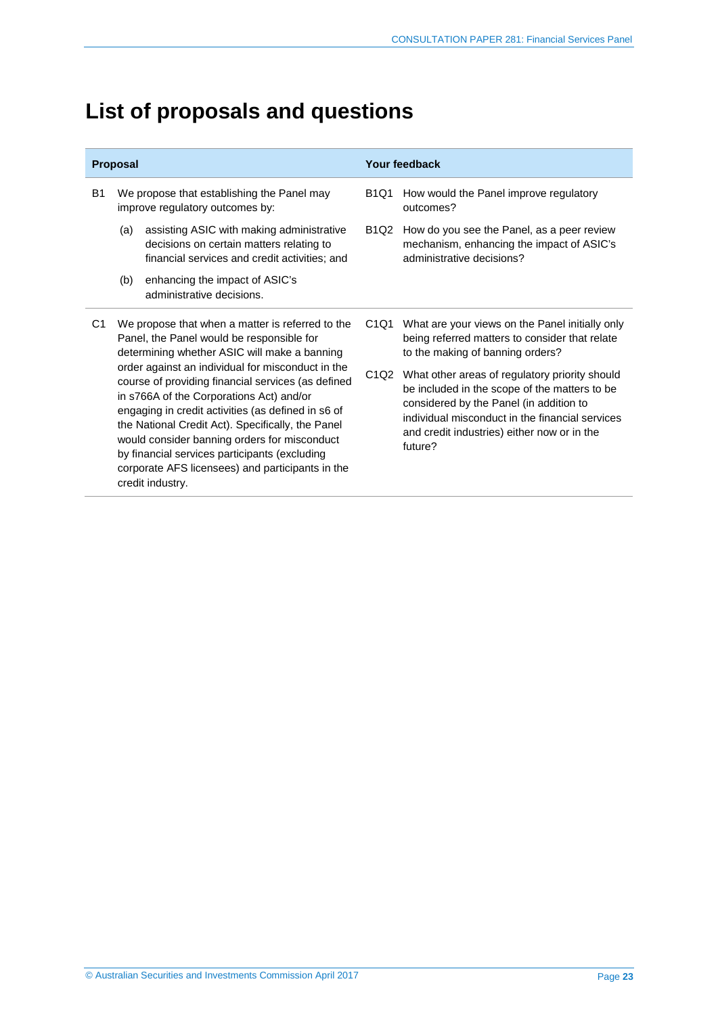## <span id="page-22-0"></span>**List of proposals and questions**

| <b>Proposal</b> |                                                                                                                                               |                                                                                                                                                                                                                                                                                                                                                                                                                                         | Your feedback                 |                                                                                                                                                                                                                                                         |  |
|-----------------|-----------------------------------------------------------------------------------------------------------------------------------------------|-----------------------------------------------------------------------------------------------------------------------------------------------------------------------------------------------------------------------------------------------------------------------------------------------------------------------------------------------------------------------------------------------------------------------------------------|-------------------------------|---------------------------------------------------------------------------------------------------------------------------------------------------------------------------------------------------------------------------------------------------------|--|
| B1              | We propose that establishing the Panel may<br>improve regulatory outcomes by:                                                                 |                                                                                                                                                                                                                                                                                                                                                                                                                                         |                               | How would the Panel improve regulatory<br>outcomes?                                                                                                                                                                                                     |  |
|                 | (a)                                                                                                                                           | assisting ASIC with making administrative<br>decisions on certain matters relating to<br>financial services and credit activities; and                                                                                                                                                                                                                                                                                                  | <b>B1Q2</b>                   | How do you see the Panel, as a peer review<br>mechanism, enhancing the impact of ASIC's<br>administrative decisions?                                                                                                                                    |  |
|                 | (b)                                                                                                                                           | enhancing the impact of ASIC's<br>administrative decisions.                                                                                                                                                                                                                                                                                                                                                                             |                               |                                                                                                                                                                                                                                                         |  |
| C1              | We propose that when a matter is referred to the<br>Panel, the Panel would be responsible for<br>determining whether ASIC will make a banning |                                                                                                                                                                                                                                                                                                                                                                                                                                         | C <sub>1</sub> Q <sub>1</sub> | What are your views on the Panel initially only<br>being referred matters to consider that relate<br>to the making of banning orders?                                                                                                                   |  |
|                 |                                                                                                                                               | order against an individual for misconduct in the<br>course of providing financial services (as defined<br>in s766A of the Corporations Act) and/or<br>engaging in credit activities (as defined in s6 of<br>the National Credit Act). Specifically, the Panel<br>would consider banning orders for misconduct<br>by financial services participants (excluding<br>corporate AFS licensees) and participants in the<br>credit industry. | C <sub>1</sub> Q <sub>2</sub> | What other areas of regulatory priority should<br>be included in the scope of the matters to be<br>considered by the Panel (in addition to<br>individual misconduct in the financial services<br>and credit industries) either now or in the<br>future? |  |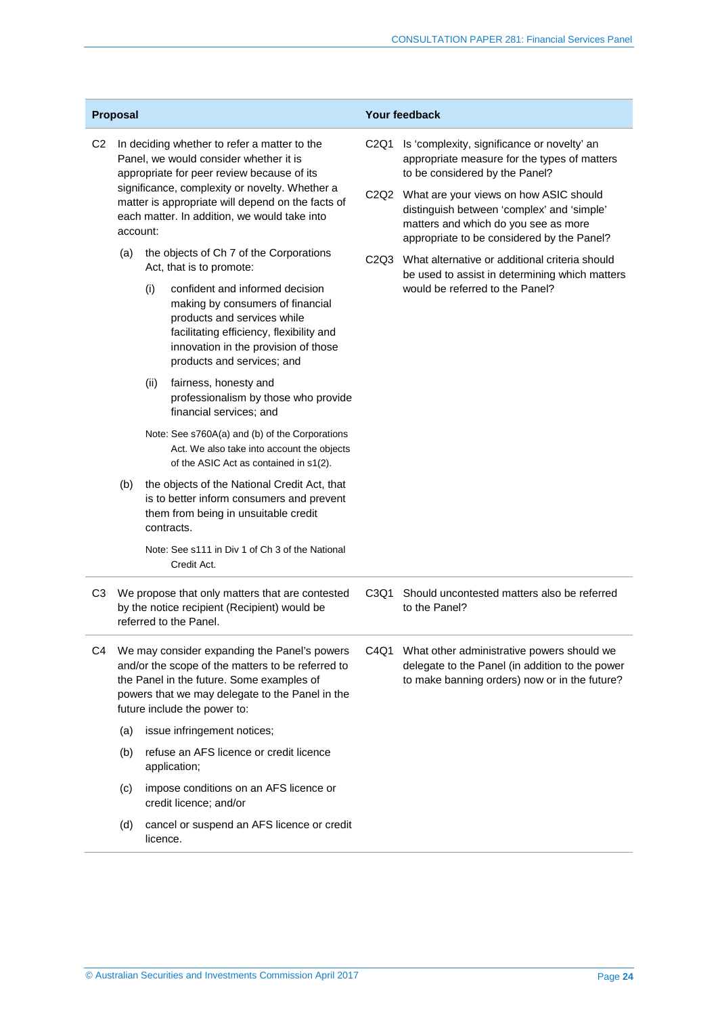| Proposal       |                                                                                                                                                                                                                                   |                                                                                                                                                                                                                             | Your feedback |                                                                                                                                                                                 |  |
|----------------|-----------------------------------------------------------------------------------------------------------------------------------------------------------------------------------------------------------------------------------|-----------------------------------------------------------------------------------------------------------------------------------------------------------------------------------------------------------------------------|---------------|---------------------------------------------------------------------------------------------------------------------------------------------------------------------------------|--|
| C <sub>2</sub> | In deciding whether to refer a matter to the<br>Panel, we would consider whether it is<br>appropriate for peer review because of its<br>significance, complexity or novelty. Whether a                                            |                                                                                                                                                                                                                             |               | C <sub>2</sub> Q <sub>1</sub><br>Is 'complexity, significance or novelty' an<br>appropriate measure for the types of matters<br>to be considered by the Panel?                  |  |
|                | account:                                                                                                                                                                                                                          | matter is appropriate will depend on the facts of<br>each matter. In addition, we would take into                                                                                                                           |               | C2Q2 What are your views on how ASIC should<br>distinguish between 'complex' and 'simple'<br>matters and which do you see as more<br>appropriate to be considered by the Panel? |  |
|                | (a)                                                                                                                                                                                                                               | the objects of Ch 7 of the Corporations<br>Act, that is to promote:                                                                                                                                                         |               | C2Q3 What alternative or additional criteria should<br>be used to assist in determining which matters                                                                           |  |
|                |                                                                                                                                                                                                                                   | confident and informed decision<br>(i)<br>making by consumers of financial<br>products and services while<br>facilitating efficiency, flexibility and<br>innovation in the provision of those<br>products and services; and |               | would be referred to the Panel?                                                                                                                                                 |  |
|                |                                                                                                                                                                                                                                   | fairness, honesty and<br>(ii)<br>professionalism by those who provide<br>financial services; and                                                                                                                            |               |                                                                                                                                                                                 |  |
|                |                                                                                                                                                                                                                                   | Note: See s760A(a) and (b) of the Corporations<br>Act. We also take into account the objects<br>of the ASIC Act as contained in s1(2).                                                                                      |               |                                                                                                                                                                                 |  |
|                | (b)                                                                                                                                                                                                                               | the objects of the National Credit Act, that<br>is to better inform consumers and prevent<br>them from being in unsuitable credit<br>contracts.<br>Note: See s111 in Div 1 of Ch 3 of the National<br>Credit Act.           |               |                                                                                                                                                                                 |  |
|                |                                                                                                                                                                                                                                   |                                                                                                                                                                                                                             |               |                                                                                                                                                                                 |  |
| C <sub>3</sub> | We propose that only matters that are contested<br>by the notice recipient (Recipient) would be<br>referred to the Panel.                                                                                                         |                                                                                                                                                                                                                             | C3Q1          | Should uncontested matters also be referred<br>to the Panel?                                                                                                                    |  |
| C4             | We may consider expanding the Panel's powers<br>and/or the scope of the matters to be referred to<br>the Panel in the future. Some examples of<br>powers that we may delegate to the Panel in the<br>future include the power to: |                                                                                                                                                                                                                             |               | C4Q1 What other administrative powers should we<br>delegate to the Panel (in addition to the power<br>to make banning orders) now or in the future?                             |  |
|                | (a)                                                                                                                                                                                                                               | issue infringement notices;                                                                                                                                                                                                 |               |                                                                                                                                                                                 |  |
|                | (b)                                                                                                                                                                                                                               | refuse an AFS licence or credit licence<br>application;                                                                                                                                                                     |               |                                                                                                                                                                                 |  |
|                | (c)                                                                                                                                                                                                                               | impose conditions on an AFS licence or<br>credit licence; and/or                                                                                                                                                            |               |                                                                                                                                                                                 |  |
|                | (d)                                                                                                                                                                                                                               | cancel or suspend an AFS licence or credit<br>licence.                                                                                                                                                                      |               |                                                                                                                                                                                 |  |